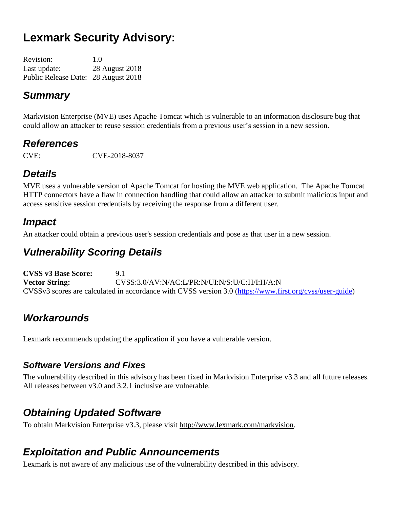# **Lexmark Security Advisory:**

| <b>Revision:</b>                    | 1.0            |
|-------------------------------------|----------------|
| Last update:                        | 28 August 2018 |
| Public Release Date: 28 August 2018 |                |

### *Summary*

Markvision Enterprise (MVE) uses Apache Tomcat which is vulnerable to an information disclosure bug that could allow an attacker to reuse session credentials from a previous user's session in a new session.

### *References*

CVE: CVE-2018-8037

# *Details*

MVE uses a vulnerable version of Apache Tomcat for hosting the MVE web application. The Apache Tomcat HTTP connectors have a flaw in connection handling that could allow an attacker to submit malicious input and access sensitive session credentials by receiving the response from a different user.

### *Impact*

An attacker could obtain a previous user's session credentials and pose as that user in a new session.

### *Vulnerability Scoring Details*

**CVSS v3 Base Score:** 9.1 **Vector String:** CVSS:3.0/AV:N/AC:L/PR:N/UI:N/S:U/C:H/I:H/A:N CVSSv3 scores are calculated in accordance with CVSS version 3.0 [\(https://www.first.org/cvss/user-guide\)](https://www.first.org/cvss/user-guide)

### *Workarounds*

Lexmark recommends updating the application if you have a vulnerable version.

#### *Software Versions and Fixes*

The vulnerability described in this advisory has been fixed in Markvision Enterprise v3.3 and all future releases. All releases between v3.0 and 3.2.1 inclusive are vulnerable.

### *Obtaining Updated Software*

To obtain Markvision Enterprise v3.3, please visit http://www.lexmark.com/markvision.

### *Exploitation and Public Announcements*

Lexmark is not aware of any malicious use of the vulnerability described in this advisory.